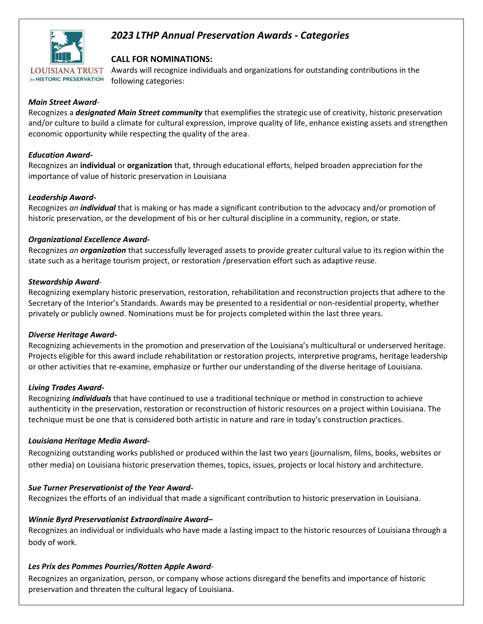

# *2023 LTHP Annual Preservation Awards - Categories*

## **CALL FOR NOMINATIONS:**

Awards will recognize individuals and organizations for outstanding contributions in the following categories:

#### *Main Street Award-*

Recognizes a *designated Main Street community* that exemplifies the strategic use of creativity, historic preservation and/or culture to build a climate for cultural expression, improve quality of life, enhance existing assets and strengthen economic opportunity while respecting the quality of the area.

#### *Education Award-*

Recognizes an **individual** or **organization** that, through educational efforts, helped broaden appreciation for the importance of value of historic preservation in Louisiana

#### *Leadership Award-*

Recognizes *an individual* that is making or has made a significant contribution to the advocacy and/or promotion of historic preservation, or the development of his or her cultural discipline in a community, region, or state.

#### *Organizational Excellence Award-*

Recognizes *an organization* that successfully leveraged assets to provide greater cultural value to its region within the state such as a heritage tourism project, or restoration /preservation effort such as adaptive reuse.

#### *Stewardship Award-*

Recognizing exemplary historic preservation, restoration, rehabilitation and reconstruction projects that adhere to the Secretary of the Interior's Standards. Awards may be presented to a residential or non-residential property, whether privately or publicly owned. Nominations must be for projects completed within the last three years.

#### *Diverse Heritage Award-*

Recognizing achievements in the promotion and preservation of the Louisiana's multicultural or underserved heritage. Projects eligible for this award include rehabilitation or restoration projects, interpretive programs, heritage leadership or other activities that re-examine, emphasize or further our understanding of the diverse heritage of Louisiana.

## *Living Trades Award-*

Recognizing *individuals* that have continued to use a traditional technique or method in construction to achieve authenticity in the preservation, restoration or reconstruction of historic resources on a project within Louisiana. The technique must be one that is considered both artistic in nature and rare in today's construction practices.

## *Louisiana Heritage Media Award-*

Recognizing outstanding works published or produced within the last two years (journalism, films, books, websites or other media) on Louisiana historic preservation themes, topics, issues, projects or local history and architecture.

## *Sue Turner Preservationist of the Year Award-*

Recognizes the efforts of an individual that made a significant contribution to historic preservation in Louisiana.

## *Winnie Byrd Preservationist Extraordinaire Award–*

Recognizes an individual or individuals who have made a lasting impact to the historic resources of Louisiana through a body of work.

## *Les Prix des Pommes Pourries/Rotten Apple Award*-

Recognizes an organization, person, or company whose actions disregard the benefits and importance of historic preservation and threaten the cultural legacy of Louisiana.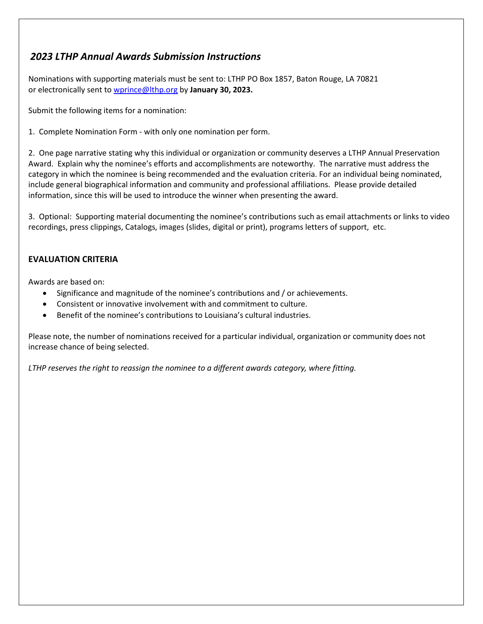# *2023 LTHP Annual Awards Submission Instructions*

Nominations with supporting materials must be sent to: LTHP PO Box 1857, Baton Rouge, LA 70821 or electronically sent to [wprince@lthp.org](mailto:wprince@lthp.org) by **January 30, 2023.**

Submit the following items for a nomination:

1. Complete Nomination Form - with only one nomination per form.

2. One page narrative stating why this individual or organization or community deserves a LTHP Annual Preservation Award. Explain why the nominee's efforts and accomplishments are noteworthy. The narrative must address the category in which the nominee is being recommended and the evaluation criteria. For an individual being nominated, include general biographical information and community and professional affiliations. Please provide detailed information, since this will be used to introduce the winner when presenting the award.

3. Optional: Supporting material documenting the nominee's contributions such as email attachments or links to video recordings, press clippings, Catalogs, images (slides, digital or print), programs letters of support, etc.

## **EVALUATION CRITERIA**

Awards are based on:

- Significance and magnitude of the nominee's contributions and / or achievements.
- Consistent or innovative involvement with and commitment to culture.
- Benefit of the nominee's contributions to Louisiana's cultural industries.

Please note, the number of nominations received for a particular individual, organization or community does not increase chance of being selected.

*LTHP reserves the right to reassign the nominee to a different awards category, where fitting.*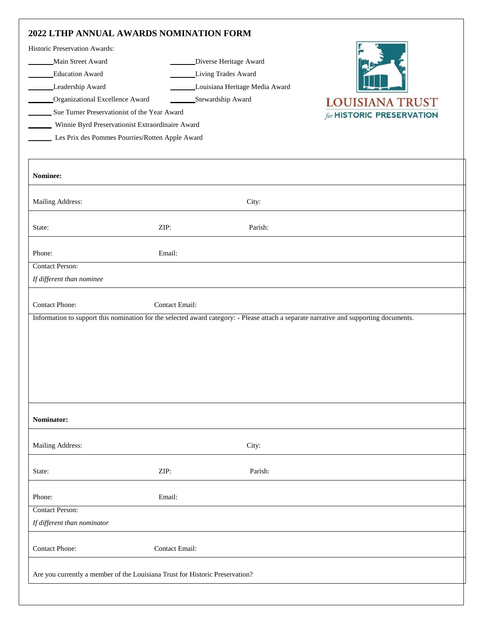| Historic Preservation Awards:                    |                       |                                                                                                                                        |                                  |
|--------------------------------------------------|-----------------------|----------------------------------------------------------------------------------------------------------------------------------------|----------------------------------|
| Main Street Award                                |                       | Diverse Heritage Award                                                                                                                 |                                  |
| <b>Education Award</b>                           |                       | Living Trades Award                                                                                                                    |                                  |
| Leadership Award                                 |                       | Louisiana Heritage Media Award                                                                                                         |                                  |
| Organizational Excellence Award                  |                       | Stewardship Award                                                                                                                      | <b>LOUISIANA TRUST</b>           |
| Sue Turner Preservationist of the Year Award     |                       |                                                                                                                                        | for <b>HISTORIC PRESERVATION</b> |
| Winnie Byrd Preservationist Extraordinaire Award |                       |                                                                                                                                        |                                  |
| Les Prix des Pommes Pourries/Rotten Apple Award  |                       |                                                                                                                                        |                                  |
|                                                  |                       |                                                                                                                                        |                                  |
| Nominee:                                         |                       |                                                                                                                                        |                                  |
| Mailing Address:                                 |                       | City:                                                                                                                                  |                                  |
| State:                                           | ZIP:                  | Parish:                                                                                                                                |                                  |
| Phone:                                           | Email:                |                                                                                                                                        |                                  |
| <b>Contact Person:</b>                           |                       |                                                                                                                                        |                                  |
| If different than nominee                        |                       |                                                                                                                                        |                                  |
|                                                  |                       |                                                                                                                                        |                                  |
| <b>Contact Phone:</b>                            | <b>Contact Email:</b> |                                                                                                                                        |                                  |
|                                                  |                       | Information to support this nomination for the selected award category: - Please attach a separate narrative and supporting documents. |                                  |
|                                                  |                       |                                                                                                                                        |                                  |
|                                                  |                       |                                                                                                                                        |                                  |
|                                                  |                       |                                                                                                                                        |                                  |
|                                                  |                       |                                                                                                                                        |                                  |
|                                                  |                       |                                                                                                                                        |                                  |
|                                                  |                       |                                                                                                                                        |                                  |
|                                                  |                       |                                                                                                                                        |                                  |
|                                                  |                       |                                                                                                                                        |                                  |
| Nominator:                                       |                       |                                                                                                                                        |                                  |
| Mailing Address:                                 |                       | City:                                                                                                                                  |                                  |
| State:                                           | ZIP:                  | Parish:                                                                                                                                |                                  |
|                                                  |                       |                                                                                                                                        |                                  |
| Phone:                                           | Email:                |                                                                                                                                        |                                  |
| <b>Contact Person:</b>                           |                       |                                                                                                                                        |                                  |
| If different than nominator                      |                       |                                                                                                                                        |                                  |
| <b>Contact Phone:</b>                            | Contact Email:        |                                                                                                                                        |                                  |
|                                                  |                       |                                                                                                                                        |                                  |